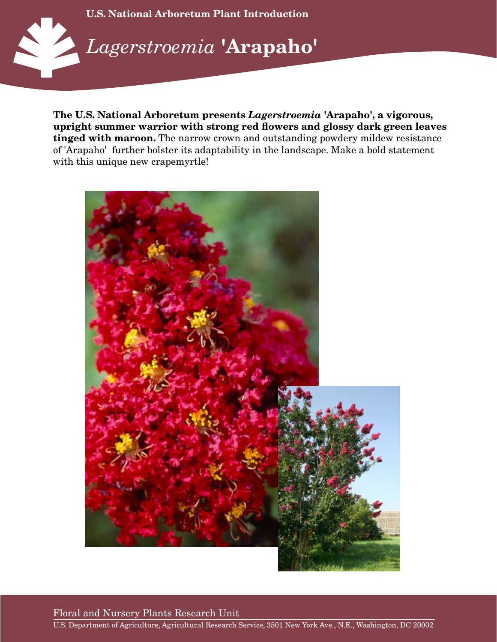

**The U.S. National Arboretum presents** *Lagerstroemia* **'Arapaho', a vigorous, upright summer warrior with strong red flowers and glossy dark green leaves tinged with maroon.** The narrow crown and outstanding powdery mildew resistance of 'Arapaho' further bolster its adaptability in the landscape. Make a bold statement with this unique new crapemyrtle!



Floral and Nursery Plants Research Unit

U.S. Department of Agriculture, Agricultural Research Service, 3501 New York Ave., N.E., Washington, DC 20002